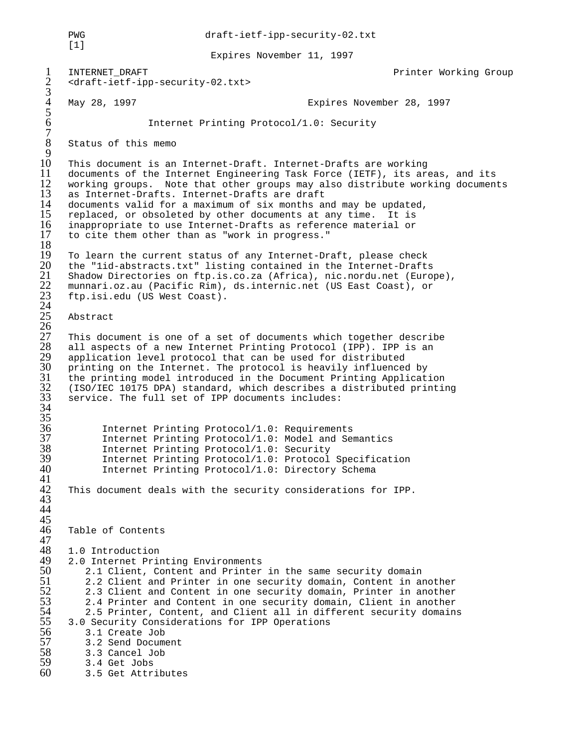PWG draft-ietf-ipp-security-02.txt  $[1]$  Expires November 11, 1997 1 INTERNET\_DRAFT Printer Working Group 2 <draft-ietf-ipp-security-02.txt> 3 4 May 28, 1997 Expires November 28, 1997 5 6 Internet Printing Protocol/1.0: Security 7 Status of this memo  $\frac{9}{10}$ 10 This document is an Internet-Draft. Internet-Drafts are working 11 documents of the Internet Engineering Task Force (IETF), its areas, and its<br>12 working groups. Note that other groups may also distribute working document 12 working groups. Note that other groups may also distribute working documents 13 as Internet-Drafts. Internet-Drafts are draft 13 as Internet-Drafts. Internet-Drafts are draft 14 documents valid for a maximum of six months and may be updated,<br>15 replaced, or obsoleted by other documents at any time. It is 15 replaced, or obsoleted by other documents at any time. It is<br>16 inappropriate to use Internet-Drafts as reference material or 16 inappropriate to use Internet-Drafts as reference material or<br>17 to cite them other than as "work in progress." to cite them other than as "work in progress."  $\frac{18}{19}$ 19 To learn the current status of any Internet-Draft, please check<br>20 the "lid-abstracts.txt" listing contained in the Internet-Drafts 20 the "1id-abstracts.txt" listing contained in the Internet-Drafts Shadow Directories on ftp.is.co.za (Africa), nic.nordu.net (Europe), 22 munnari.oz.au (Pacific Rim), ds.internic.net (US East Coast), or ftp.isi.edu (US West Coast). 24 Abstract 26 This document is one of a set of documents which together describe 28 all aspects of a new Internet Printing Protocol (IPP). IPP is an<br>29 application level protocol that can be used for distributed 29 application level protocol that can be used for distributed<br>30 printing on the Internet. The protocol is heavily influenced printing on the Internet. The protocol is heavily influenced by the printing model introduced in the Document Printing Application 32 (ISO/IEC 10175 DPA) standard, which describes a distributed printing service. The full set of IPP documents includes: 34 35 36 Internet Printing Protocol/1.0: Requirements<br>37 Internet Printing Protocol/1.0: Model and Sem 37 Internet Printing Protocol/1.0: Model and Semantics 38 Internet Printing Protocol/1.0: Security 39 Internet Printing Protocol/1.0: Protocol Specification Internet Printing Protocol/1.0: Directory Schema 41 This document deals with the security considerations for IPP.  $\frac{42}{43}$ 44  $\frac{45}{46}$ Table of Contents 47 48 1.0 Introduction<br>49 2.0 Internet Prim 49 2.0 Internet Printing Environments<br>50 2.1 Client, Content and Printer 50 2.1 Client, Content and Printer in the same security domain 51 2.2 Client and Printer in one security domain, Content in another 52 2.3 Client and Content in one security domain, Printer in another<br>53 2.4 Printer and Content in one security domain, Client in another 53 2.4 Printer and Content in one security domain, Client in another 54 2.5 Printer, Content, and Client all in different security domains<br>55 3.0 Security Considerations for IPP Operations 55 3.0 Security Considerations for IPP Operations 56 3.1 Create Job 57 3.2 Send Document<br>58 3.3 Cancel Job 58 3.3 Cancel Job<br>59 3.4 Get Jobs 59 3.4 Get Jobs 60 3.5 Get Attributes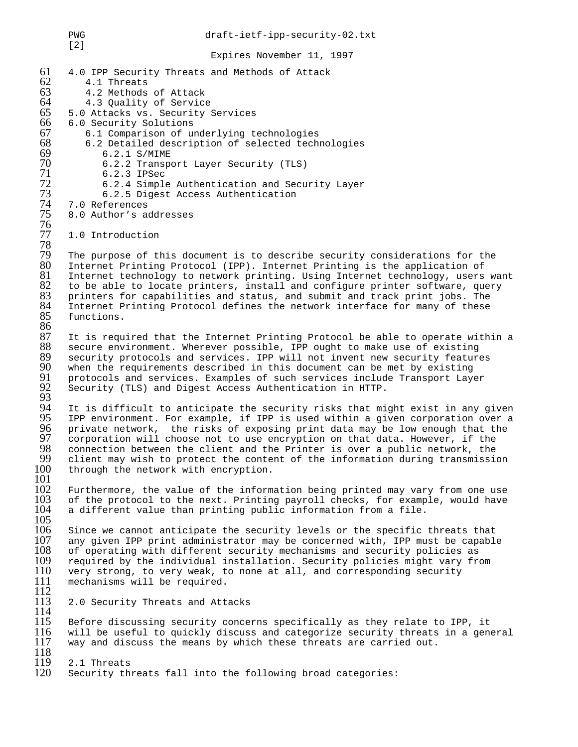PWG draft-ietf-ipp-security-02.txt [2] Expires November 11, 1997 61 4.0 IPP Security Threats and Methods of Attack  $62$  4.1 Threats<br> $63$  4.2 Methods 63 4.2 Methods of Attack 64 4.3 Quality of Service<br>65 5.0 Attacks vs. Security 9 65 5.0 Attacks vs. Security Services 66 6.0 Security Solutions<br>67 6.1 Comparison of un 67 6.1 Comparison of underlying technologies<br>68 6.2 Detailed description of selected tech  $68$  6.2 Detailed description of selected technologies<br> $69$  6.2.1 S/MIME 69 6.2.1 S/MIME<br>70 6.2.2 Transpo 70 6.2.2 Transport Layer Security (TLS)<br>
71 6.2.3 IPSec<br>
72 6.2.4 Simple Authentication and Secu<br>
73 6.2.5 Digest Access Authentication 6.2.3 IPSec 72 6.2.4 Simple Authentication and Security Layer 73 6.2.5 Digest Access Authentication<br>74 7.0 References<br>75 8.0 Author's addresses 7.0 References 8.0 Author's addresses 76 1.0 Introduction 78 79 The purpose of this document is to describe security considerations for the 80 Internet Printing Protocol (IPP). Internet Printing is the application of 80 Internet Printing Protocol (IPP). Internet Printing is the application of 81 Internet technology to network printing. Using Internet technology, users 81 Internet technology to network printing. Using Internet technology, users want<br>82 to be able to locate printers, install and configure printer software, query  $82$  to be able to locate printers, install and configure printer software, query<br> $83$  printers for capabilities and status, and submit and track print jobs. The 83 printers for capabilities and status, and submit and track print jobs. The<br>84 Internet Printing Protocol defines the network interface for many of these 84 Internet Printing Protocol defines the network interface for many of these<br>85 functions. functions. 86<br>87 87 It is required that the Internet Printing Protocol be able to operate within a<br>88 secure environment. Wherever possible, IPP ought to make use of existing 88 secure environment. Wherever possible, IPP ought to make use of existing<br>89 security protocols and services. IPP will not invent new security feature 89 security protocols and services. IPP will not invent new security features<br>90 when the requirements described in this document can be met by existing 90 when the requirements described in this document can be met by existing<br>91 protocols and services. Examples of such services include Transport Laye 91 protocols and services. Examples of such services include Transport Layer<br>92 Security (TLS) and Digest Access Authentication in HTTP. Security (TLS) and Digest Access Authentication in HTTP. 93<br>94 94 It is difficult to anticipate the security risks that might exist in any given<br>95 IPP environment. For example, if IPP is used within a given corporation over a 95 IPP environment. For example, if IPP is used within a given corporation over a<br>96 private network, the risks of exposing print data may be low enough that the 96 private network, the risks of exposing print data may be low enough that the 97 corporation will choose not to use encryption on that data. However, if the 98 connection between the client and the Printer is over a public network, the 98 connection between the client and the Printer is over a public network, the 99 client may wish to protect the content of the information during transmission 100 through the network with encryption. through the network with encryption.  $\frac{101}{102}$ 102 Furthermore, the value of the information being printed may vary from one use<br>103 of the protocol to the next. Printing payroll checks, for example, would have 103 of the protocol to the next. Printing payroll checks, for example, would have<br>104 a different value than printing public information from a file. a different value than printing public information from a file.  $\frac{105}{106}$ 106 Since we cannot anticipate the security levels or the specific threats that<br>107 any given IPP print administrator may be concerned with, IPP must be capable 107 any given IPP print administrator may be concerned with, IPP must be capable 108 of operating with different security mechanisms and security policies as 108 of operating with different security mechanisms and security policies as 109 required by the individual installation. Security policies might vary from 109 required by the individual installation. Security policies might vary from 110 very strong, to very weak, to none at all, and corresponding security  $110$  very strong, to very weak, to none at all, and corresponding security  $111$  mechanisms will be required. mechanisms will be required.  $\frac{112}{113}$ 2.0 Security Threats and Attacks  $\frac{114}{115}$ 115 Before discussing security concerns specifically as they relate to IPP, it<br>116 will be useful to quickly discuss and categorize security threats in a gen 116 will be useful to quickly discuss and categorize security threats in a general<br>117 way and discuss the means by which these threats are carried out. way and discuss the means by which these threats are carried out. 118<br>119 119 2.1 Threats<br>120 Security th Security threats fall into the following broad categories: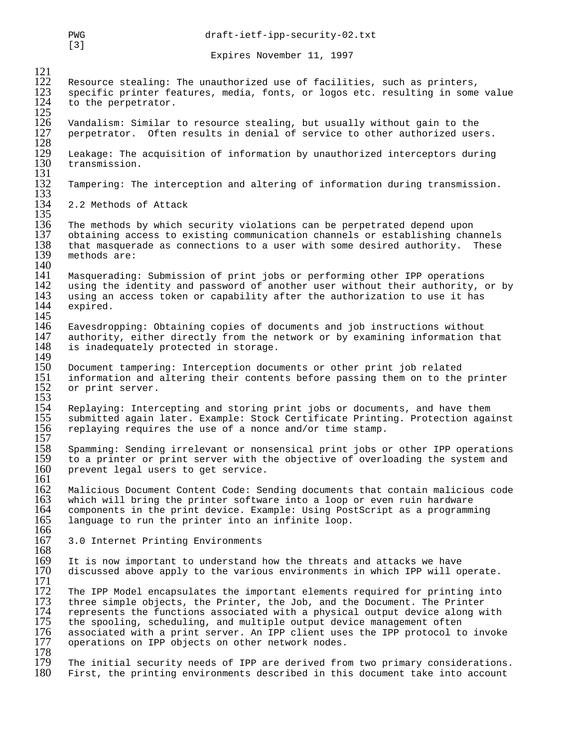PWG draft-ietf-ipp-security-02.txt [3] Expires November 11, 1997  $\frac{121}{122}$ 122 Resource stealing: The unauthorized use of facilities, such as printers,<br>123 Specific printer features, media, fonts, or logos etc, resulting in some specific printer features, media, fonts, or logos etc. resulting in some value to the perpetrator.  $\frac{124}{125}$ Vandalism: Similar to resource stealing, but usually without gain to the perpetrator. Often results in denial of service to other authorized users.  $\frac{126}{127}$ <br> $\frac{127}{128}$ <br> $\frac{129}{130}$ Leakage: The acquisition of information by unauthorized interceptors during transmission. 131 Tampering: The interception and altering of information during transmission. 133 2.2 Methods of Attack  $\frac{134}{135}$ <br>135 136 The methods by which security violations can be perpetrated depend upon<br>137 obtaining access to existing communication channels or establishing chan 137 obtaining access to existing communication channels or establishing channels<br>138 that masquerade as connections to a user with some desired authority. These 138 that masquerade as connections to a user with some desired authority. These<br>139 methods are: methods are:  $\frac{140}{141}$ 141 Masquerading: Submission of print jobs or performing other IPP operations<br>142 using the identity and password of another user without their authority, o 142 using the identity and password of another user without their authority, or by<br>143 using an access token or capability after the authorization to use it has 143 using an access token or capability after the authorization to use it has 144 expired. expired.  $\frac{145}{146}$ 146 Eavesdropping: Obtaining copies of documents and job instructions without<br>147 authority, either directly from the network or by examining information tl 147 authority, either directly from the network or by examining information that 148 is inadequately protected in storage. is inadequately protected in storage. 149<br>150 150 Document tampering: Interception documents or other print job related<br>151 information and altering their contents before passing them on to the 151 information and altering their contents before passing them on to the printer<br>152 or print server. or print server. 153<br>154<br>155 Replaying: Intercepting and storing print jobs or documents, and have them submitted again later. Example: Stock Certificate Printing. Protection against replaying requires the use of a nonce and/or time stamp.  $\frac{156}{157}$ <br>158 158 Spamming: Sending irrelevant or nonsensical print jobs or other IPP operations<br>159 to a printer or print server with the objective of overloading the system and 159 to a printer or print server with the objective of overloading the system and 160 prevent legal users to get service. prevent legal users to get service.  $\frac{161}{162}$ 162 Malicious Document Content Code: Sending documents that contain malicious code<br>163 which will bring the printer software into a loop or even ruin hardware 163 which will bring the printer software into a loop or even ruin hardware 164 components in the print device. Example: Using PostScript as a programming 165 language to run the printer into an infinite loop. language to run the printer into an infinite loop.  $\frac{166}{167}$ 3.0 Internet Printing Environments 168<br>169 169 It is now important to understand how the threats and attacks we have<br>170 discussed above apply to the various environments in which IPP will op discussed above apply to the various environments in which IPP will operate.  $\frac{171}{172}$ 172 The IPP Model encapsulates the important elements required for printing into<br>173 three simple objects, the Printer, the Job, and the Document. The Printer 173 three simple objects, the Printer, the Job, and the Document. The Printer<br>174 represents the functions associated with a physical output device along w 174 represents the functions associated with a physical output device along with 175 the spooling, scheduling, and multiple output device management often 175 the spooling, scheduling, and multiple output device management often<br>176 associated with a print server. An IPP client uses the IPP protocol to<br>177 operations on IPP objects on other network nodes. associated with a print server. An IPP client uses the IPP protocol to invoke operations on IPP objects on other network nodes. 178<br>179 179 The initial security needs of IPP are derived from two primary considerations.<br>180 First, the printing environments described in this document take into account First, the printing environments described in this document take into account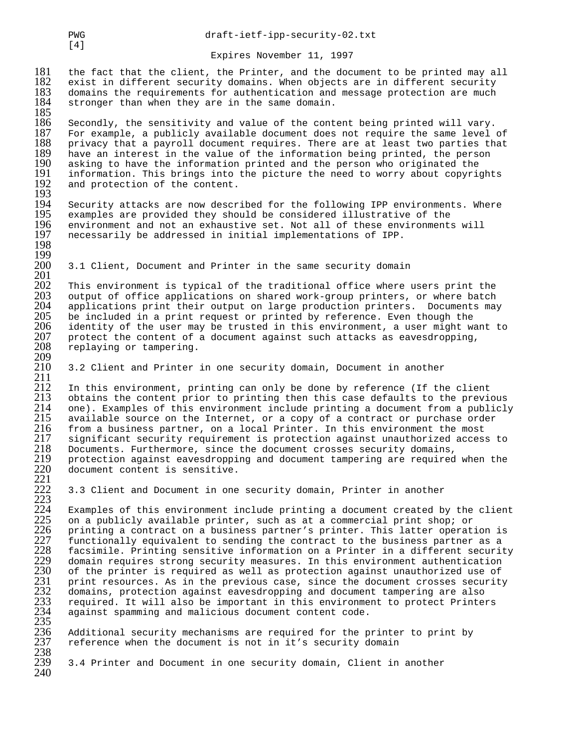$181$  the fact that the client, the Printer, and the document to be printed may all  $182$  exist in different security domains. When objects are in different security 182 exist in different security domains. When objects are in different security<br>183 domains the requirements for authentication and message protection are much 183 domains the requirements for authentication and message protection are much 184 stronger than when they are in the same domain. stronger than when they are in the same domain.

185 186 Secondly, the sensitivity and value of the content being printed will vary.<br>187 For example, a publicly available document does not require the same level 187 For example, a publicly available document does not require the same level of<br>188 privacy that a payroll document requires. There are at least two parties that 188 privacy that a payroll document requires. There are at least two parties that<br>189 have an interest in the value of the information being printed, the person 189 have an interest in the value of the information being printed, the person<br>190 asking to have the information printed and the person who originated the 190 asking to have the information printed and the person who originated the<br>191 information. This brings into the picture the need to worry about copyrio 191 information. This brings into the picture the need to worry about copyrights<br>192 and protection of the content. and protection of the content.

 $\frac{193}{194}$ 194 Security attacks are now described for the following IPP environments. Where<br>195 examples are provided they should be considered illustrative of the 195 examples are provided they should be considered illustrative of the<br>196 environment and not an exhaustive set. Not all of these environment: 196 environment and not an exhaustive set. Not all of these environments will<br>197 necessarily be addressed in initial implementations of IPP. necessarily be addressed in initial implementations of IPP. 198

3.1 Client, Document and Printer in the same security domain

201 202 This environment is typical of the traditional office where users print the<br>203 output of office applications on shared work-group printers, or where batch 203 output of office applications on shared work-group printers, or where batch<br>204 applications print their output on large production printers. Documents may 204 applications print their output on large production printers. Documents may<br>205 be included in a print request or printed by reference. Even though the 205 be included in a print request or printed by reference. Even though the 206 identity of the user may be trusted in this environment, a user might way 206 identity of the user may be trusted in this environment, a user might want to 207 protect the content of a document against such attacks as eavesdropping, 207 protect the content of a document against such attacks as eavesdropping,<br>208 replaying or tampering. replaying or tampering. 209

3.2 Client and Printer in one security domain, Document in another

 $\frac{211}{212}$ 212 In this environment, printing can only be done by reference (If the client<br>213 obtains the content prior to printing then this case defaults to the previ 213 obtains the content prior to printing then this case defaults to the previous<br>214 one). Examples of this environment include printing a document from a publicly 214 one). Examples of this environment include printing a document from a publicly 215 available source on the Internet, or a copy of a contract or purchase order 215 available source on the Internet, or a copy of a contract or purchase order<br>216 from a business partner, on a local Printer. In this environment the most 216 from a business partner, on a local Printer. In this environment the most 217 significant security requirement is protection against unauthorized access to<br>218 Documents. Furthermore, since the document crosses security domains, 218 Documents. Furthermore, since the document crosses security domains,<br>219 protection against eavesdropping and document tampering are required<br>220 document content is sensitive. protection against eavesdropping and document tampering are required when the document content is sensitive.

3.3 Client and Document in one security domain, Printer in another

 $224$  Examples of this environment include printing a document created by the client<br>225 on a publicly available printer, such as at a commercial print shop; or 225 on a publicly available printer, such as at a commercial print shop; or 226 printing a contract on a business partner's printer. This latter operat:<br>227 functionally equivalent to sending the contract to the business p printing a contract on a business partner's printer. This latter operation is 227 functionally equivalent to sending the contract to the business partner as a<br>228 facsimile. Printing sensitive information on a Printer in a different securit 228 facsimile. Printing sensitive information on a Printer in a different security<br>229 domain requires strong security measures. In this environment authentication<br>230 of the printer is required as well as protection again domain requires strong security measures. In this environment authentication 230 of the printer is required as well as protection against unauthorized use of<br>231 print resources. As in the previous case, since the document crosses security<br>232 domains, protection against eavesdropping and document print resources. As in the previous case, since the document crosses security domains, protection against eavesdropping and document tampering are also required. It will also be important in this environment to protect Printers against spamming and malicious document content code.  $\frac{234}{235}$ 

Additional security mechanisms are required for the printer to print by reference when the document is not in it's security domain 236<br>237<br>238<br>239

3.4 Printer and Document in one security domain, Client in another  $240$ 

 $[4]$ 

199

221

223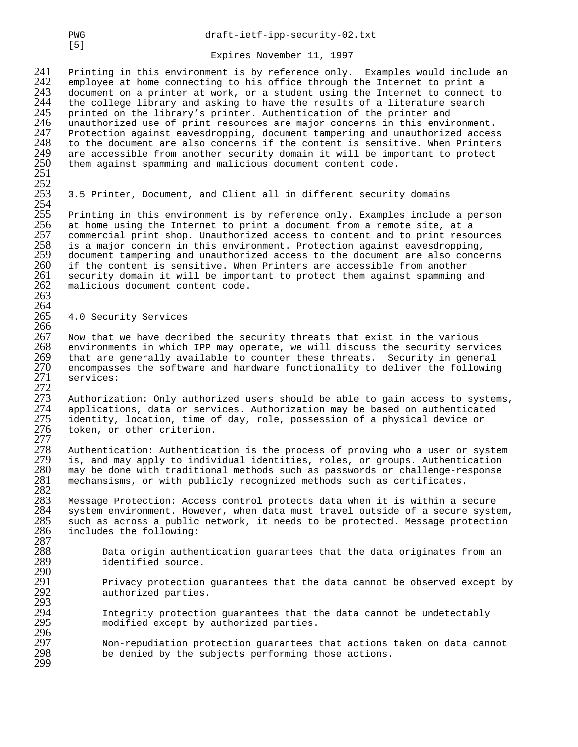241 Printing in this environment is by reference only. Examples would include an 242 employee at home connecting to his office through the Internet to print a 242 employee at home connecting to his office through the Internet to print a<br>243 document on a printer at work, or a student using the Internet to connect 243 document on a printer at work, or a student using the Internet to connect to 244 the college library and asking to have the results of a literature search 244 the college library and asking to have the results of a literature search<br>245 printed on the library's printer. Authentication of the printer and 245 printed on the library's printer. Authentication of the printer and<br>246 unauthorized use of print resources are major concerns in this envi: 246 unauthorized use of print resources are major concerns in this environment. 247 Protection against eavesdropping, document tampering and unauthorized access<br>248 to the document are also concerns if the content is sensitive. When Printers 248 to the document are also concerns if the content is sensitive. When Printers<br>249 are accessible from another security domain it will be important to protect<br>250 them against spamming and malicious document content code are accessible from another security domain it will be important to protect them against spamming and malicious document content code. 251

## 253 3.5 Printer, Document, and Client all in different security domains

 $\frac{253}{255}$ 255 Printing in this environment is by reference only. Examples include a person<br>256 at home using the Internet to print a document from a remote site, at a 256 at home using the Internet to print a document from a remote site, at a<br>257 commercial print shop. Unauthorized access to content and to print resow 257 commercial print shop. Unauthorized access to content and to print resources<br>258 is a major concern in this environment. Protection against eavesdropping, 258 is a major concern in this environment. Protection against eavesdropping, 259 document tampering and unauthorized access to the document are also concerns<br>260 if the content is sensitive. When Printers are accessible from another 260 if the content is sensitive. When Printers are accessible from another<br>261 security domain it will be important to protect them against spamming a 261 security domain it will be important to protect them against spamming and malicious document content code. malicious document content code. 263

## 4.0 Security Services

266 267 Now that we have decribed the security threats that exist in the various 268 environments in which IPP may operate, we will discuss the security serv 268 environments in which IPP may operate, we will discuss the security services<br>269 that are generally available to counter these threats. Security in general 269 that are generally available to counter these threats. Security in general<br>270 encompasses the software and hardware functionality to deliver the following 270 encompasses the software and hardware functionality to deliver the following<br>271 services: services:

 $^{272}_{273}$ 273 Authorization: Only authorized users should be able to gain access to systems,<br>274 applications, data or services. Authorization may be based on authenticated 274 applications, data or services. Authorization may be based on authenticated<br>275 identity, location, time of day, role, possession of a physical device or 275 identity, location, time of day, role, possession of a physical device or<br>276 token, or other criterion. token, or other criterion.

 $\frac{277}{278}$ 278 Authentication: Authentication is the process of proving who a user or system<br>279 is, and may apply to individual identities, roles, or groups. Authentication 279 is, and may apply to individual identities, roles, or groups. Authentication<br>280 may be done with traditional methods such as passwords or challenge-response may be done with traditional methods such as passwords or challenge-response mechansisms, or with publicly recognized methods such as certificates.  $\frac{281}{282}$ <br>282

283 Message Protection: Access control protects data when it is within a secure 284 system environment. However, when data must travel outside of a secure system,<br>285 such as across a public network, it needs to be protected. Message protection 285 such as across a public network, it needs to be protected. Message protection<br>286 includes the following: includes the following: 287

288 Data origin authentication guarantees that the data originates from an identified source.

291 Privacy protection guarantees that the data cannot be observed except by authorized parties.

294 Integrity protection guarantees that the data cannot be undetectably<br>295 modified except by authorized parties. modified except by authorized parties.

296 297 Non-repudiation protection guarantees that actions taken on data cannot<br>298 be denied by the subjects performing those actions. be denied by the subjects performing those actions. 299

[5]

252

 $\frac{264}{265}$ 

 $\frac{290}{291}$ 

293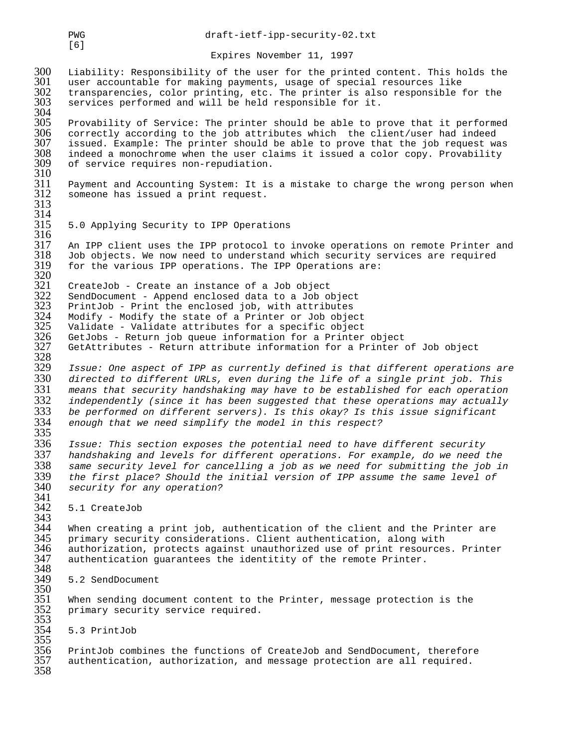300 Liability: Responsibility of the user for the printed content. This holds the 301 user accountable for making payments, usage of special resources like 301 user accountable for making payments, usage of special resources like 302 transparencies, color printing, etc. The printer is also responsible for the 303 services performed and will be held responsible for it. services performed and will be held responsible for it. 304<br>305 305 Provability of Service: The printer should be able to prove that it performed<br>306 correctly according to the job attributes which the client/user had indeed

306 correctly according to the job attributes which the client/user had indeed<br>307 issued. Example: The printer should be able to prove that the job request wa 307 issued. Example: The printer should be able to prove that the job request was 308 indeed a monochrome when the user claims it issued a color copy. Provability<br>309 of service requires non-repudiation. of service requires non-repudiation.

310<br>311 311 Payment and Accounting System: It is a mistake to charge the wrong person when someone has issued a print request. 313

 $\frac{314}{315}$ 315 5.0 Applying Security to IPP Operations

 $\frac{316}{317}$ 317 An IPP client uses the IPP protocol to invoke operations on remote Printer and<br>318 Job objects. We now need to understand which security services are required  $318$  Job objects. We now need to understand which security services are required  $319$  for the various IPP operations. The IPP Operations are: for the various IPP operations. The IPP Operations are:

320<br>321 321 CreateJob - Create an instance of a Job object<br>322 SendDocument - Append enclosed data to a Job ol 322 SendDocument - Append enclosed data to a Job object<br>323 PrintJob - Print the enclosed job, with attributes 323 PrintJob - Print the enclosed job, with attributes 324 Modify - Modify the state of a Printer or Job object<br>325 Validate - Validate attributes for a specific object<br>326 GetJobs - Return job queue information for a Printer<br>327 GetAttributes - Return attribute information fo Validate - Validate attributes for a specific object GetJobs - Return job queue information for a Printer object GetAttributes - Return attribute information for a Printer of Job object

328<br>329 329 Issue: One aspect of IPP as currently defined is that different operations are<br>330 directed to different URLs, even during the life of a single print job. This 330 directed to different URLs, even during the life of a single print job. This 331 means that security handshaking may have to be established for each operation 332 independently (since it has been suggested that these operations may actually<br>333 be performed on different servers). Is this okay? Is this issue significant 333 be performed on different servers). Is this okay? Is this issue significant enough that we need simplify the model in this respect?

335<br>336 336 Issue: This section exposes the potential need to have different security 337 handshaking and levels for different operations. For example, do we need the 338 same security level for cancelling a job as we need for submitting the job in<br>339 the first place? Should the initial version of IPP assume the same level of 339 the first place? Should the initial version of IPP assume the same level of 340 security for any operation? security for any operation?

341<br>342 5.1 CreateJob

343<br>344 344 When creating a print job, authentication of the client and the Printer are<br>345 primary security considerations. Client authentication, along with 345 primary security considerations. Client authentication, along with 346 authorization, protects against unauthorized use of print resources. Printer<br>347 authentication guarantees the identitity of the remote Printer. authentication guarantees the identitity of the remote Printer. 348<br>349

5.2 SendDocument

350<br>351 When sending document content to the Printer, message protection is the primary security service required. 352<br>353

354 5.3 PrintJob

354<br>355<br>356 356 PrintJob combines the functions of CreateJob and SendDocument, therefore authentication, authorization, and message protection are all required. 358

[6]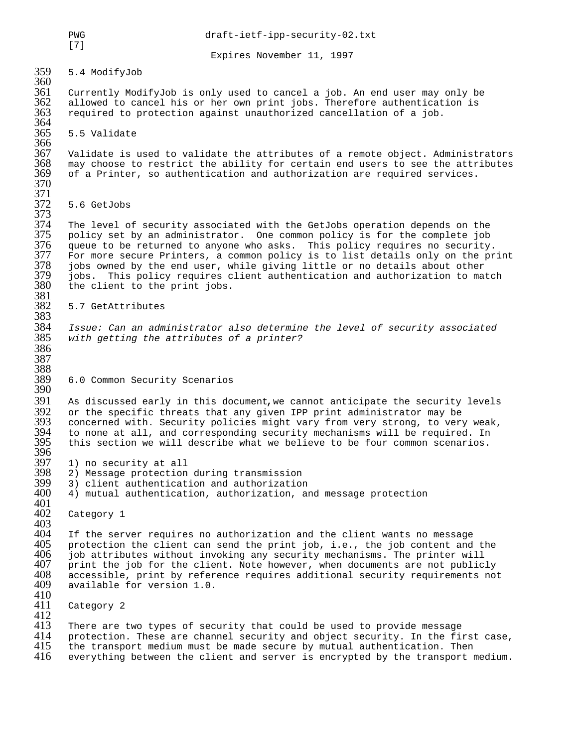PWG draft-ietf-ipp-security-02.txt

Expires November 11, 1997

359 5.4 ModifyJob

360<br>361 361 Currently ModifyJob is only used to cancel a job. An end user may only be 362 allowed to cancel his or her own print jobs. Therefore authentication is required to protection against unauthorized cancellation of a job. required to protection against unauthorized cancellation of a job.

5.5 Validate

366<br>367  $367$  – Validate is used to validate the attributes of a remote object. Administrators<br> $368$  – may choose to restrict the ability for certain end users to see the attributes  $368$   $\,$  may choose to restrict the ability for certain end users to see the attributes<br> $369$   $\,$  of a Printer, so authentication and authorization are required services. of a Printer, so authentication and authorization are required services. 370

5.6 GetJobs

372<br>373<br>374 374 The level of security associated with the GetJobs operation depends on the 375 policy set by an administrator. One common policy is for the complete job 376 queue to be returned to anyone who asks. This policy requires no security. 377 For more secure Printers, a common policy is to list details only on the print<br>378 jobs owned by the end user, while giving little or no details about other 378 jobs owned by the end user, while giving little or no details about other 379 jobs. This policy requires client authentication and authorization to match<br>380 the client to the print jobs. the client to the print jobs.

381<br>382 5.7 GetAttributes

383<br>384 384 Issue: Can an administrator also determine the level of security associated with getting the attributes of a printer? 386

389 6.0 Common Security Scenarios

390<br>391  $391$  As discussed early in this document,we cannot anticipate the security levels  $392$  or the specific threats that any given IPP print administrator may be 392 or the specific threats that any given IPP print administrator may be<br>393 concerned with. Security policies might vary from very strong, to ver 393 concerned with. Security policies might vary from very strong, to very weak,<br>394 to none at all, and corresponding security mechanisms will be required. In 394 to none at all, and corresponding security mechanisms will be required. In<br>395 this section we will describe what we believe to be four common scenarios. this section we will describe what we believe to be four common scenarios.

- 396<br>397
- 397 1) no security at all 398 2) Message protection during transmission
- 399 3) client authentication and authorization
	- 4) mutual authentication, authorization, and message protection
- 401<br>402 Category 1

403<br>404 404 If the server requires no authorization and the client wants no message<br>405 protection the client can send the print job, i.e., the job content and  $405$  protection the client can send the print job, i.e., the job content and the  $406$  job attributes without invoking any security mechanisms. The printer will 406 job attributes without invoking any security mechanisms. The printer will<br>407 print the job for the client. Note however, when documents are not public. 407 print the job for the client. Note however, when documents are not publicly<br>408 accessible, print by reference requires additional security requirements not 408 accessible, print by reference requires additional security requirements not available for version 1.0.

410<br>411 Category 2

 $^{412}_{413}$ 413 There are two types of security that could be used to provide message<br>414 protection. These are channel security and object security. In the fi 414 protection. These are channel security and object security. In the first case,<br>415 the transport medium must be made secure by mutual authentication. Then 415 the transport medium must be made secure by mutual authentication. Then 416 everything between the client and server is encrypted by the transport r everything between the client and server is encrypted by the transport medium.

[7]

364<br>365

371

387 388<br>389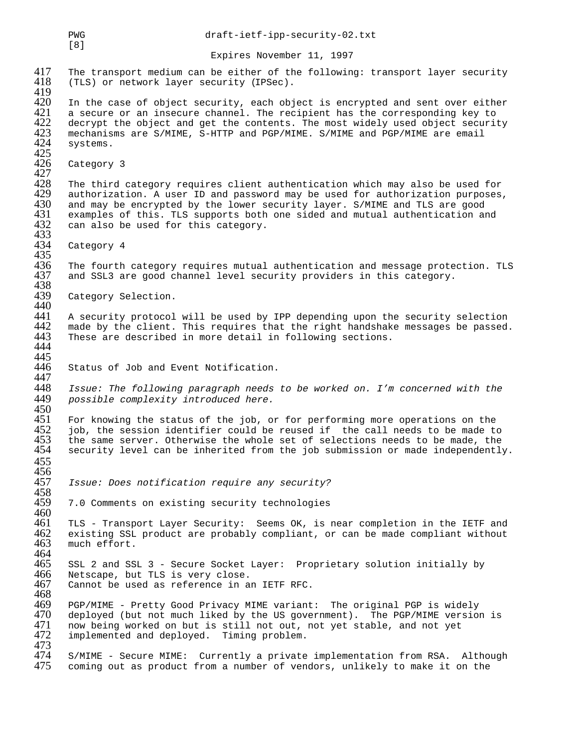PWG draft-ietf-ipp-security-02.txt [8] Expires November 11, 1997 417 The transport medium can be either of the following: transport layer security 418 (TLS) or network layer security (IPSec). (TLS) or network layer security (IPSec). 419<br>420 420 In the case of object security, each object is encrypted and sent over either<br>421 a secure or an insecure channel. The recipient has the corresponding key to 421 a secure or an insecure channel. The recipient has the corresponding key to 422 decrypt the object and get the contents. The most widely used object securities mechanisms are S/MIME, S-HTTP and PGP/MIME. S/MIME and PGP decrypt the object and get the contents. The most widely used object security 423 mechanisms are S/MIME, S-HTTP and PGP/MIME. S/MIME and PGP/MIME are email systems.  $425$ <br> $426$ Category 3  $\frac{427}{428}$ 428 The third category requires client authentication which may also be used for<br>429 authorization. A user ID and password may be used for authorization purposes 429 authorization. A user ID and password may be used for authorization purposes,<br>430 and may be encrypted by the lower security layer. S/MIME and TLS are good 430 and may be encrypted by the lower security layer. S/MIME and TLS are good<br>431 examples of this. TLS supports both one sided and mutual authentication ar 431 examples of this. TLS supports both one sided and mutual authentication and 432 can also be used for this category. can also be used for this category. 433<br>434 Category 4 435<br>436 436 The fourth category requires mutual authentication and message protection. TLS<br>437 and SSL3 are good channel level security providers in this category. and SSL3 are good channel level security providers in this category. 438<br>439 Category Selection. 440<br>441 441 A security protocol will be used by IPP depending upon the security selection<br>442 made by the client. This requires that the right handshake messages be passed. 442 made by the client. This requires that the right handshake messages be passed.<br>443 These are described in more detail in following sections. These are described in more detail in following sections. 444 445<br>446 Status of Job and Event Notification. 447 448 Issue: The following paragraph needs to be worked on. I'm concerned with the<br>449 possible complexity introduced here. possible complexity introduced here. 450<br>451 451 For knowing the status of the job, or for performing more operations on the<br>452 job, the session identifier could be reused if the call needs to be made to 452 job, the session identifier could be reused if the call needs to be made to<br>453 the same server. Otherwise the whole set of selections needs to be made, the 453 the same server. Otherwise the whole set of selections needs to be made, the<br>454 security level can be inherited from the job submission or made independently security level can be inherited from the job submission or made independently. 455 456<br>457 Issue: Does notification require any security? 458<br>459 7.0 Comments on existing security technologies 460<br>461 461 TLS - Transport Layer Security: Seems OK, is near completion in the IETF and<br>462 existing SSL product are probably compliant, or can be made compliant without 462 existing SSL product are probably compliant, or can be made compliant without much effort. 464<br>465 465 SSL 2 and SSL 3 - Secure Socket Layer: Proprietary solution initially by<br>466 Netscape, but TLS is very close. 466 Netscape, but TLS is very close.<br>467 Cannot be used as reference in a Cannot be used as reference in an IETF RFC. 468<br>469 469 PGP/MIME - Pretty Good Privacy MIME variant: The original PGP is widely 470 deployed (but not much liked by the US government). The PGP/MIME version is<br>471 now being worked on but is still not out, not yet stable, and not yet 471 now being worked on but is still not out, not yet stable, and not yet<br>472 implemented and deploved. Timing problem. implemented and deployed. Timing problem. 473<br>474 474 S/MIME - Secure MIME: Currently a private implementation from RSA. Although<br>475 coming out as product from a number of vendors, unlikely to make it on the coming out as product from a number of vendors, unlikely to make it on the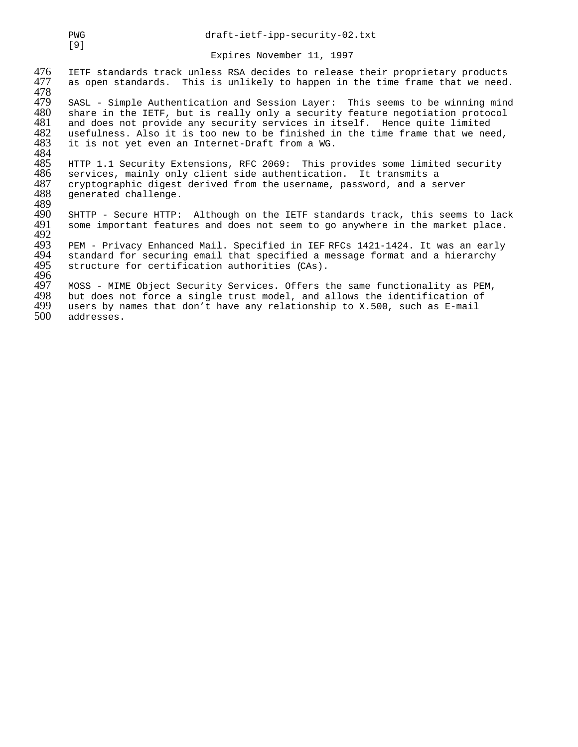476 IETF standards track unless RSA decides to release their proprietary products<br>477 as open standards. This is unlikely to happen in the time frame that we need. as open standards. This is unlikely to happen in the time frame that we need. 478<br>479 479 SASL - Simple Authentication and Session Layer: This seems to be winning mind<br>480 share in the IETF, but is really only a security feature negotiation protocol 480 share in the IETF, but is really only a security feature negotiation protocol<br>481 and does not provide any security services in itself. Hence quite limited 481 and does not provide any security services in itself. Hence quite limited 482 usefulness. Also it is too new to be finished in the time frame that we need,<br>483 it is not yet even an Internet-Draft from a WG. it is not yet even an Internet-Draft from a WG. 484<br>485 485 HTTP 1.1 Security Extensions, RFC 2069: This provides some limited security<br>486 services, mainly only client side authentication. It transmits a 486 services, mainly only client side authentication. It transmits a 487 cryptographic digest derived from the username, password, and a server<br>488 canerated challenge. generated challenge. 489<br>490 490 SHTTP - Secure HTTP: Although on the IETF standards track, this seems to lack<br>491 some important features and does not seem to go anywhere in the market place. some important features and does not seem to go anywhere in the market place. 492<br>493 493 PEM - Privacy Enhanced Mail. Specified in IEF RFCs 1421-1424. It was an early 494 standard for securing email that specified a message format and a hierarchy<br>495 structure for certification authorities (CAs). structure for certification authorities (CAs). 496<br>497 497 MOSS - MIME Object Security Services. Offers the same functionality as PEM,<br>498 but does not force a single trust model, and allows the identification of 498 but does not force a single trust model, and allows the identification of 499 users by names that don't have any relationship to X.500, such as E-mail 499 users by names that don't have any relationship to X.500, such as E-mail  $500$  addresses. addresses.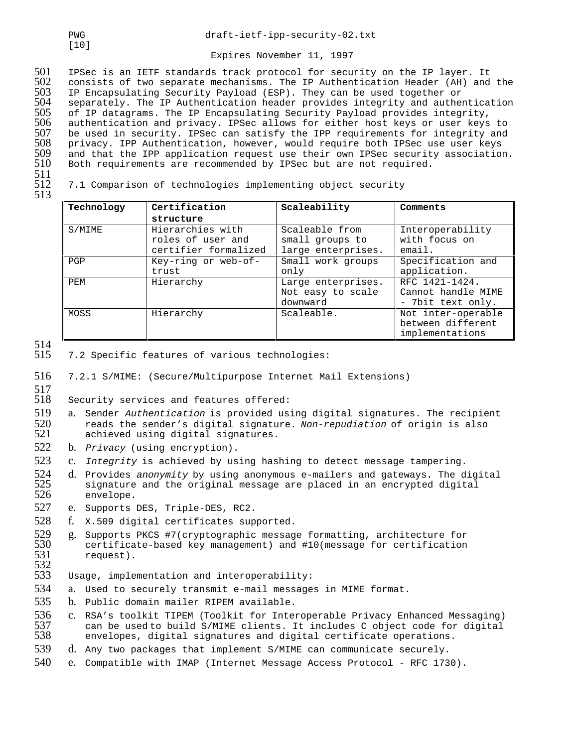501 IPSec is an IETF standards track protocol for security on the IP layer. It 502 consists of two separate mechanisms. The IP Authentication Header (AH) and the<br>503 IP Encapsulating Security Payload (ESP). They can be used together or 503 IP Encapsulating Security Payload (ESP). They can be used together or<br>504 separately. The IP Authentication header provides integrity and authe 504 separately. The IP Authentication header provides integrity and authentication<br>505 of IP datagrams. The IP Encapsulating Security Payload provides integrity, 505 of IP datagrams. The IP Encapsulating Security Payload provides integrity, 506 authentication and privacy. IPSec allows for either host keys or user keys to 507 be used in security. IPSec can satisfy the IPP requirements for integrity and 508 privacy. IPP Authentication, however, would require both IPSec use user keys 509 and that the IPP application request use their own IPSec security association.<br>510 Both requirements are recommended by IPSec but are not required. Both requirements are recommended by IPSec but are not required.

511<br>512

513

512 7.1 Comparison of technologies implementing object security

| Technology | Certification        | Scaleability       | Comments           |  |
|------------|----------------------|--------------------|--------------------|--|
|            | structure            |                    |                    |  |
| S/MIME     | Hierarchies with     | Scaleable from     | Interoperability   |  |
|            | roles of user and    | small groups to    | with focus on      |  |
|            | certifier formalized | large enterprises. | email.             |  |
| PGP        | Key-ring or web-of-  | Small work groups  | Specification and  |  |
|            | trust                | only               | application.       |  |
| PEM        | Hierarchy            | Large enterprises. | RFC 1421-1424.     |  |
|            |                      | Not easy to scale  | Cannot handle MIME |  |
|            |                      | downward           | - 7bit text only.  |  |
| MOSS       | Hierarchy            | Scaleable.         | Not inter-operable |  |
|            |                      |                    | between different  |  |
|            |                      |                    | implementations    |  |

514<br>515

7.2 Specific features of various technologies:

516 7.2.1 S/MIME: (Secure/Multipurpose Internet Mail Extensions)

517<br>518

Security services and features offered:

- 519 a. Sender Authentication is provided using digital signatures. The recipient 520 reads the sender's digital signature. Non-repudiation of origin is also  $520$  reads the sender's digital signature. Non-repudiation of origin is also  $521$  achieved using digital signatures. achieved using digital signatures.
- 522 b. Privacy (using encryption).
- 523 c. Integrity is achieved by using hashing to detect message tampering.
- 524 d. Provides anonymity by using anonymous e-mailers and gateways. The digital<br>525 signature and the original message are placed in an encrypted digital 525 signature and the original message are placed in an encrypted digital<br>526 envelope. envelope.
- 527 e. Supports DES, Triple-DES, RC2.
- 528 f. X.509 digital certificates supported.
- 529 g. Supports PKCS #7(cryptographic message formatting, architecture for<br>530 certificate-based key management) and #10(message for certification 530 certificate-based key management) and #10(message for certification<br>531 request). request).

532<br>533 Usage, implementation and interoperability:

- 534 a. Used to securely transmit e-mail messages in MIME format.
- 535 b. Public domain mailer RIPEM available.
- 536 c. RSA's toolkit TIPEM (Toolkit for Interoperable Privacy Enhanced Messaging)<br>537 can be used to build S/MIME clients. It includes C object code for digital 537 can be used to build S/MIME clients. It includes C object code for digital<br>538 envelopes, digital signatures and digital certificate operations. envelopes, digital signatures and digital certificate operations.
- 539 d. Any two packages that implement S/MIME can communicate securely.
- 540 e. Compatible with IMAP (Internet Message Access Protocol RFC 1730).

[10]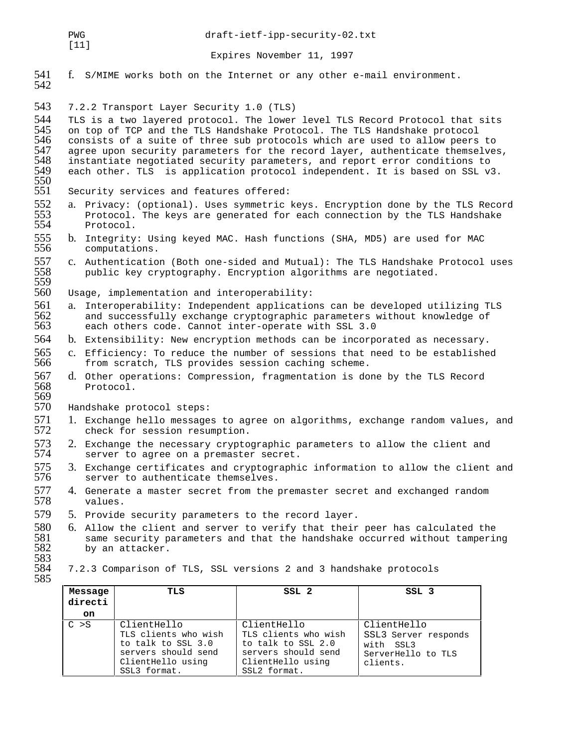$[11]$ 

Expires November 11, 1997

541 f. S/MIME works both on the Internet or any other e-mail environment. 542

543 7.2.2 Transport Layer Security 1.0 (TLS)

544 TLS is a two layered protocol. The lower level TLS Record Protocol that sits<br>545 on top of TCP and the TLS Handshake Protocol. The TLS Handshake protocol 545 on top of TCP and the TLS Handshake Protocol. The TLS Handshake protocol<br>546 consists of a suite of three sub protocols which are used to allow peers 546 consists of a suite of three sub protocols which are used to allow peers to<br>547 agree upon security parameters for the record layer, authenticate themselves 547 agree upon security parameters for the record layer, authenticate themselves,<br>548 instantiate negotiated security parameters, and report error conditions to 548 instantiate negotiated security parameters, and report error conditions to each other. TLS is application protocol independent. It is based on SSL v3.

- 550 Security services and features offered:
- 552 a. Privacy: (optional). Uses symmetric keys. Encryption done by the TLS Record<br>553 Protocol. The keys are generated for each connection by the TLS Handshake 553 Protocol. The keys are generated for each connection by the TLS Handshake Protocol.
- 555 b. Integrity: Using keyed MAC. Hash functions (SHA, MD5) are used for MAC<br>556 computations. computations.
- 557 c. Authentication (Both one-sided and Mutual): The TLS Handshake Protocol uses<br>558 public key cryptography. Encryption algorithms are negotiated. public key cryptography. Encryption algorithms are negotiated.
- 559<br>560 Usage, implementation and interoperability:
- 561 a. Interoperability: Independent applications can be developed utilizing TLS 562 and successfully exchange cryptographic parameters without knowledge of 563 each others code. Cannot inter-operate with SSL 3.0 each others code. Cannot inter-operate with SSL 3.0
- 564 b. Extensibility: New encryption methods can be incorporated as necessary.
- 565 c. Efficiency: To reduce the number of sessions that need to be established 566 from scratch, TLS provides session caching scheme. from scratch, TLS provides session caching scheme.
- 567 d. Other operations: Compression, fragmentation is done by the TLS Record 568 Protocol.

569<br>570 Handshake protocol steps:

- 571 1. Exchange hello messages to agree on algorithms, exchange random values, and 572 check for session resumption. check for session resumption.
- 573 2. Exchange the necessary cryptographic parameters to allow the client and 574 server to agree on a premaster secret. server to agree on a premaster secret.
- 575 3. Exchange certificates and cryptographic information to allow the client and 576 server to authenticate themselves. server to authenticate themselves.
- 577 4. Generate a master secret from the premaster secret and exchanged random<br>578 values. values.
- 579 5. Provide security parameters to the record layer.
- 580 6. Allow the client and server to verify that their peer has calculated the<br>581 same security parameters and that the handshake occurred without tampering 581 same security parameters and that the handshake occurred without tampering<br>582 by an attacker. by an attacker.

ClientHello

**TLS SSL 2 SSL 3**

ClientHello

with SSL3

clients.

SSL3 Server responds

ServerHello to TLS

TLS clients who wish to talk to SSL 2.0 servers should send ClientHello using SSL2 format.

583

585

**Message directi on**

C >S ClientHello

TLS clients who wish to talk to SSL 3.0 servers should send ClientHello using SSL3 format.

## 584 7.2.3 Comparison of TLS, SSL versions 2 and 3 handshake protocols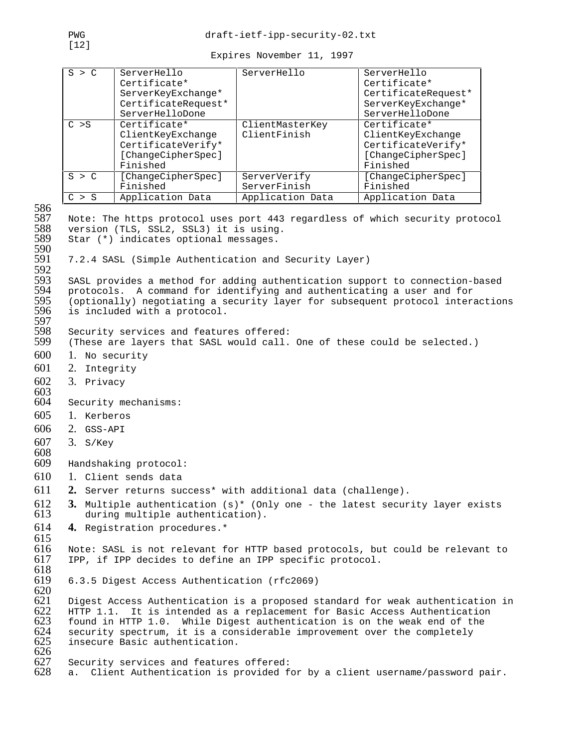| S > C      | ServerHello<br>Certificate*<br>ServerKeyExchange*<br>CertificateRequest*<br>ServerHelloDone | ServerHello                     | ServerHello<br>Certificate*<br>CertificateRequest*<br>ServerKeyExchange*<br>ServerHelloDone |
|------------|---------------------------------------------------------------------------------------------|---------------------------------|---------------------------------------------------------------------------------------------|
| $C \geq S$ | Certificate*<br>ClientKeyExchange<br>CertificateVerify*<br>[ChangeCipherSpec]<br>Finished   | ClientMasterKey<br>ClientFinish | Certificate*<br>ClientKeyExchange<br>CertificateVerify*<br>[ChangeCipherSpec]<br>Finished   |
| S > C      | [ChangeCipherSpec]<br>Finished                                                              | ServerVerify<br>ServerFinish    | [ChangeCipherSpec]<br>Finished                                                              |
| > S        | Application Data                                                                            | Application Data                | Application Data                                                                            |

586<br>587 587 Note: The https protocol uses port 443 regardless of which security protocol<br>588 version (TLS, SSL2, SSL3) it is using. 588 version (TLS, SSL2, SSL3) it is using.<br>589 Star (\*) indicates optional messages. Star (\*) indicates optional messages. 590<br>591 7.2.4 SASL (Simple Authentication and Security Layer) 592<br>593 593 SASL provides a method for adding authentication support to connection-based<br>594 protocols. A command for identifying and authenticating a user and for 594 protocols. A command for identifying and authenticating a user and for 595 (optionally) negotiating a security layer for subsequent protocol interactions<br>596 is included with a protocol. is included with a protocol. 597<br>598 598 Security services and features offered:<br>599 (These are layers that SASL would call. (These are layers that SASL would call. One of these could be selected.) 600 1. No security 601 2. Integrity 602 3. Privacy 603<br>604 Security mechanisms: 605 1. Kerberos 606 2. GSS-API 607 3. S/Key 608 Handshaking protocol: 610 1. Client sends data 611 **2.** Server returns success\* with additional data (challenge). **3.** Multiple authentication (s)\* (Only one - the latest security layer exists during multiple authentication). during multiple authentication). 614 **4.** Registration procedures.\* 615 616 Note: SASL is not relevant for HTTP based protocols, but could be relevant to 617 IPP, if IPP decides to define an IPP specific protocol. IPP, if IPP decides to define an IPP specific protocol. 618 619 6.3.5 Digest Access Authentication (rfc2069) 620 621 Digest Access Authentication is a proposed standard for weak authentication in 622 HTTP 1.1. It is intended as a replacement for Basic Access Authentication 622 HTTP 1.1. It is intended as a replacement for Basic Access Authentication  $623$  found in HTTP 1.0. While Digest authentication is on the weak end of the 623 found in HTTP 1.0. While Digest authentication is on the weak end of the  $624$  security spectrum, it is a considerable improvement over the completely 624 security spectrum, it is a considerable improvement over the completely insecure Basic authentication. insecure Basic authentication. 626<br>627 627 Security services and features offered:<br>628 a. Client Authentication is provided f a. Client Authentication is provided for by a client username/password pair.

[12]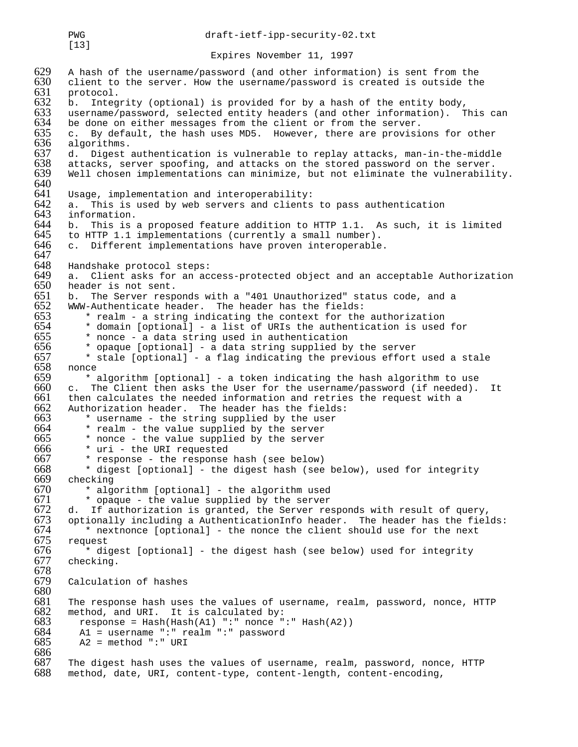PWG draft-ietf-ipp-security-02.txt

Expires November 11, 1997

629 A hash of the username/password (and other information) is sent from the 630 client to the server. How the username/password is created is outside the  $630$  client to the server. How the username/password is created is outside the  $631$  protocol. 631 protocol.<br>632 b. Integ 632 b. Integrity (optional) is provided for by a hash of the entity body,<br>633 username/password, selected entity headers (and other information). T 633 username/password, selected entity headers (and other information). This can<br>634 be done on either messages from the client or from the server. 634 be done on either messages from the client or from the server.<br>635 c. By default, the hash uses MD5. However, there are provisi 635 c. By default, the hash uses MD5. However, there are provisions for other 636 algorithms. 636 algorithms.<br>637 d. Digest 637 d. Digest authentication is vulnerable to replay attacks, man-in-the-middle 638 attacks, server spoofing, and attacks on the stored password on the server. 638 attacks, server spoofing, and attacks on the stored password on the server.<br>639 Well chosen implementations can minimize, but not eliminate the vulnerabili Well chosen implementations can minimize, but not eliminate the vulnerability. 640<br>641 641 Usage, implementation and interoperability:  $642$  a. This is used by web servers and clients to pass authentication  $643$  information. 643 information.<br>644 b. This is 644 b. This is a proposed feature addition to HTTP 1.1. As such, it is limited  $645$  to HTTP 1.1 implementations (currently a small number). 645 to HTTP 1.1 implementations (currently a small number).<br>646 c. Different implementations have proven interoperable c. Different implementations have proven interoperable. 647<br>648 648 Handshake protocol steps: 649 a. Client asks for an access-protected object and an acceptable Authorization  $650$  header is not sent.<br> $651$  b. The Server respe 651 b. The Server responds with a "401 Unauthorized" status code, and a 652 WWW-Authenticate header. The header has the fields:<br>653  $*$  realm - a string indicating the context for the 653  $*$  realm - a string indicating the context for the authorization  $654$   $*$  domain [optional] - a list of URIs the authentication is used 654  $*$  domain [optional] - a list of URIs the authentication is used for 655  $*$  nonce - a data string used in authentication 655 \* nonce - a data string used in authentication<br>656 \* opaque [optional] - a data string supplied by 656  $*$  opaque [optional] - a data string supplied by the server 657  $*$  stale [optional] - a flag indicating the previous effort 657  $*$  stale [optional] - a flag indicating the previous effort used a stale 658 nonce 658 nonce<br>659 \* 659  $\cdot$  \* algorithm [optional] - a token indicating the hash algorithm to use 660  $\cdot$  c. The Client then asks the User for the username/password (if needed).  $660$  c. The Client then asks the User for the username/password (if needed). It  $661$  then calculates the needed information and retries the request with a then calculates the needed information and retries the request with a 662 Authorization header. The header has the fields:<br>663  $*$  username - the string supplied by the user  $663$  \* username - the string supplied by the user  $664$  \* realm - the value supplied by the server  $664$  \* realm - the value supplied by the server  $665$  \* nonce - the value supplied by the server  $665$  \* nonce - the value supplied by the server  $666$  \* uri - the URI requested 666 \* uri - the URI requested<br>667 \* response - the response 667 \* response - the response hash (see below)<br>668 \* digest [optional] - the digest hash (see  $668$  \* digest [optional] - the digest hash (see below), used for integrity  $669$  checking  $669$  checking<br> $670$  \* alge  $670$  \* algorithm [optional] - the algorithm used<br> $671$  \* opaque - the value supplied by the server  $671$  \* opaque - the value supplied by the server  $672$  d. If authorization is granted, the Server re  $672$  d. If authorization is granted, the Server responds with result of query,<br> $673$  optionally including a AuthenticationInfo header. The header has the fiel 673 optionally including a AuthenticationInfo header. The header has the fields:<br>674  $\cdot$  \* nextnonce [optional] - the nonce the client should use for the next  $674$  \* nextnonce [optional] - the nonce the client should use for the next  $675$  request 0/5 request<br>676 \* di  $676$  \* digest [optional] - the digest hash (see below) used for integrity checking. checking. 678 Calculation of hashes 680<br>681 681 The response hash uses the values of username, realm, password, nonce, HTTP 682 method, and URI. It is calculated by: 682 method, and URI. It is calculated by:<br>683 response = Hash(Hash(A1) ":" nonce " 683 response = Hash(Hash(A1) ":" nonce ":" Hash(A2)) 684 A1 = username ":" realm ":" password 685 A2 = method ":" URI 686 687 The digest hash uses the values of username, realm, password, nonce, HTTP 688 method, date, URI, content-type, content-length, content-encoding, method, date, URI, content-type, content-length, content-encoding,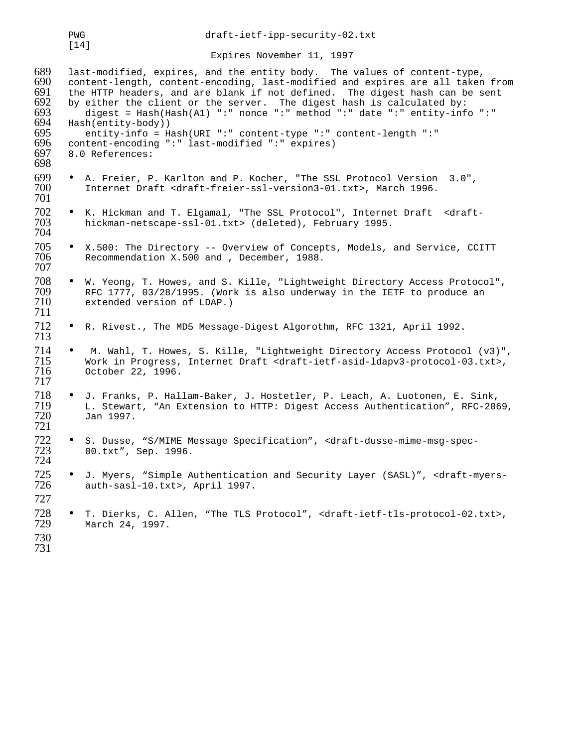|                                                                    | PWG<br>$[14]$                         |                                                                                                                                                                                                                                                                                                                                                                                                                                   | draft-ietf-ipp-security-02.txt |                                                                                |
|--------------------------------------------------------------------|---------------------------------------|-----------------------------------------------------------------------------------------------------------------------------------------------------------------------------------------------------------------------------------------------------------------------------------------------------------------------------------------------------------------------------------------------------------------------------------|--------------------------------|--------------------------------------------------------------------------------|
|                                                                    |                                       |                                                                                                                                                                                                                                                                                                                                                                                                                                   | Expires November 11, 1997      |                                                                                |
| 689<br>690<br>691<br>692<br>693<br>694<br>695<br>696<br>697<br>698 | Hash(entity-body))<br>8.0 References: | last-modified, expires, and the entity body. The values of content-type,<br>the HTTP headers, and are blank if not defined. The digest hash can be sent<br>by either the client or the server. The digest hash is calculated by:<br>digest = Hash(Hash(A1) ":" nonce ":" method ":" date ":" entity-info ":"<br>entity-info = Hash(URI ":" content-type ":" content-length ":"<br>content-encoding ":" last-modified ":" expires) |                                | content-length, content-encoding, last-modified and expires are all taken from |
| 699<br>700<br>701                                                  |                                       | A. Freier, P. Karlton and P. Kocher, "The SSL Protocol Version 3.0",<br>Internet Draft <draft-freier-ssl-version3-01.txt>, March 1996.</draft-freier-ssl-version3-01.txt>                                                                                                                                                                                                                                                         |                                |                                                                                |
| 702<br>703<br>704                                                  |                                       | K. Hickman and T. Elgamal, "The SSL Protocol", Internet Draft <draft-<br>hickman-netscape-ssl-01.txt&gt; (deleted), February 1995.</draft-<br>                                                                                                                                                                                                                                                                                    |                                |                                                                                |
| 705<br>706<br>707                                                  |                                       | X.500: The Directory -- Overview of Concepts, Models, and Service, CCITT<br>Recommendation X.500 and , December, 1988.                                                                                                                                                                                                                                                                                                            |                                |                                                                                |
| 708<br>709<br>710<br>711                                           |                                       | W. Yeong, T. Howes, and S. Kille, "Lightweight Directory Access Protocol",<br>RFC 1777, 03/28/1995. (Work is also underway in the IETF to produce an<br>extended version of LDAP.)                                                                                                                                                                                                                                                |                                |                                                                                |
| 712<br>713                                                         |                                       | R. Rivest., The MD5 Message-Digest Algorothm, RFC 1321, April 1992.                                                                                                                                                                                                                                                                                                                                                               |                                |                                                                                |
| 714<br>715<br>716<br>717                                           | October 22, 1996.                     | Work in Progress, Internet Draft <draft-ietf-asid-ldapv3-protocol-03.txt>,</draft-ietf-asid-ldapv3-protocol-03.txt>                                                                                                                                                                                                                                                                                                               |                                | M. Wahl, T. Howes, S. Kille, "Lightweight Directory Access Protocol (v3)",     |
| 718<br>719<br>720<br>721                                           | Jan 1997.                             | J. Franks, P. Hallam-Baker, J. Hostetler, P. Leach, A. Luotonen, E. Sink,                                                                                                                                                                                                                                                                                                                                                         |                                | L. Stewart, "An Extension to HTTP: Digest Access Authentication", RFC-2069,    |
| 722<br>723<br>724                                                  | 00.txt", Sep. 1996.                   | • S. Dusse, "S/MIME Message Specification", <draft-dusse-mime-msg-spec-< td=""><td></td><td></td></draft-dusse-mime-msg-spec-<>                                                                                                                                                                                                                                                                                                   |                                |                                                                                |
| 725<br>726<br>727                                                  |                                       | J. Myers, "Simple Authentication and Security Layer (SASL)", <draft-myers-<br>auth-sasl-10.txt&gt;, April 1997.</draft-myers-<br>                                                                                                                                                                                                                                                                                                 |                                |                                                                                |
| 728<br>729<br>730<br>731                                           | March 24, 1997.                       | T. Dierks, C. Allen, "The TLS Protocol", <draft-ietf-tls-protocol-02.txt>,</draft-ietf-tls-protocol-02.txt>                                                                                                                                                                                                                                                                                                                       |                                |                                                                                |
|                                                                    |                                       |                                                                                                                                                                                                                                                                                                                                                                                                                                   |                                |                                                                                |